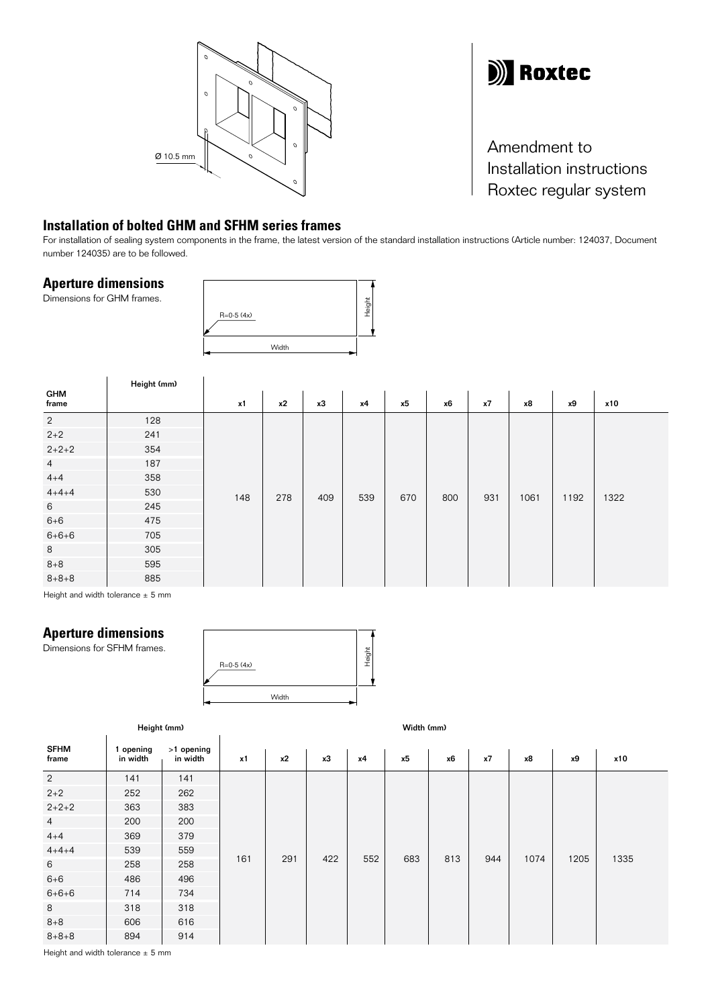



Amendment to Installation instructions Roxtec regular system

## **Installation of bolted GHM and SFHM series frames**

For installation of sealing system components in the frame, the latest version of the standard installation instructions (Article number: 124037, Document number 124035) are to be followed.

## **Aperture dimensions**

Dimensions for GHM frames.

 $\hat{1}$ 



|                                                                                                                                                                                                                                              | Height (mm) |     |     |     |     |     |     |     |      |      |      |
|----------------------------------------------------------------------------------------------------------------------------------------------------------------------------------------------------------------------------------------------|-------------|-----|-----|-----|-----|-----|-----|-----|------|------|------|
| <b>GHM</b><br>frame                                                                                                                                                                                                                          |             | x1  | x2  | x3  | x4  | x5  | x6  | x7  | x8   | х9   | x10  |
| $\overline{2}$                                                                                                                                                                                                                               | 128         | 148 | 278 | 409 | 539 | 670 | 800 | 931 | 1061 | 1192 | 1322 |
| $2 + 2$                                                                                                                                                                                                                                      | 241         |     |     |     |     |     |     |     |      |      |      |
| $2+2+2$                                                                                                                                                                                                                                      | 354         |     |     |     |     |     |     |     |      |      |      |
| $\overline{4}$                                                                                                                                                                                                                               | 187         |     |     |     |     |     |     |     |      |      |      |
| $4 + 4$                                                                                                                                                                                                                                      | 358         |     |     |     |     |     |     |     |      |      |      |
| $4 + 4 + 4$                                                                                                                                                                                                                                  | 530         |     |     |     |     |     |     |     |      |      |      |
| $6\,$                                                                                                                                                                                                                                        | 245         |     |     |     |     |     |     |     |      |      |      |
| $6 + 6$                                                                                                                                                                                                                                      | 475         |     |     |     |     |     |     |     |      |      |      |
| $6 + 6 + 6$                                                                                                                                                                                                                                  | 705         |     |     |     |     |     |     |     |      |      |      |
| 8                                                                                                                                                                                                                                            | 305         |     |     |     |     |     |     |     |      |      |      |
| $8 + 8$                                                                                                                                                                                                                                      | 595         |     |     |     |     |     |     |     |      |      |      |
| $8 + 8 + 8$<br>the company of the company of the company of the company of the company of the company of the company of the company of the company of the company of the company of the company of the company of the company of the company | 885         |     |     |     |     |     |     |     |      |      |      |

Height and width tolerance  $\pm$  5 mm

## **Aperture dimensions**

Dimensions for SFHM frames.



|                      | Width (mm)            |                        |     |     |     |     |     |     |     |      |           |      |
|----------------------|-----------------------|------------------------|-----|-----|-----|-----|-----|-----|-----|------|-----------|------|
| <b>SFHM</b><br>frame | 1 opening<br>in width | >1 opening<br>in width | x1  | x2  | x3  | x4  | x5  | x6  | x7  | x8   | <b>x9</b> | x10  |
| $\overline{2}$       | 141                   | 141                    |     | 291 | 422 | 552 | 683 | 813 | 944 | 1074 | 1205      | 1335 |
| $2+2$                | 252                   | 262                    |     |     |     |     |     |     |     |      |           |      |
| $2+2+2$              | 363                   | 383                    |     |     |     |     |     |     |     |      |           |      |
| $\overline{4}$       | 200                   | 200                    |     |     |     |     |     |     |     |      |           |      |
| $4 + 4$              | 369                   | 379                    |     |     |     |     |     |     |     |      |           |      |
| $4 + 4 + 4$          | 539                   | 559                    |     |     |     |     |     |     |     |      |           |      |
| 6                    | 258                   | 258                    | 161 |     |     |     |     |     |     |      |           |      |
| $6 + 6$              | 486                   | 496                    |     |     |     |     |     |     |     |      |           |      |
| $6 + 6 + 6$          | 714                   | 734                    |     |     |     |     |     |     |     |      |           |      |
| 8                    | 318                   | 318                    |     |     |     |     |     |     |     |      |           |      |
| $8 + 8$              | 606                   | 616                    |     |     |     |     |     |     |     |      |           |      |
| $8 + 8 + 8$          | 894                   | 914                    |     |     |     |     |     |     |     |      |           |      |

Height and width tolerance  $\pm$  5 mm